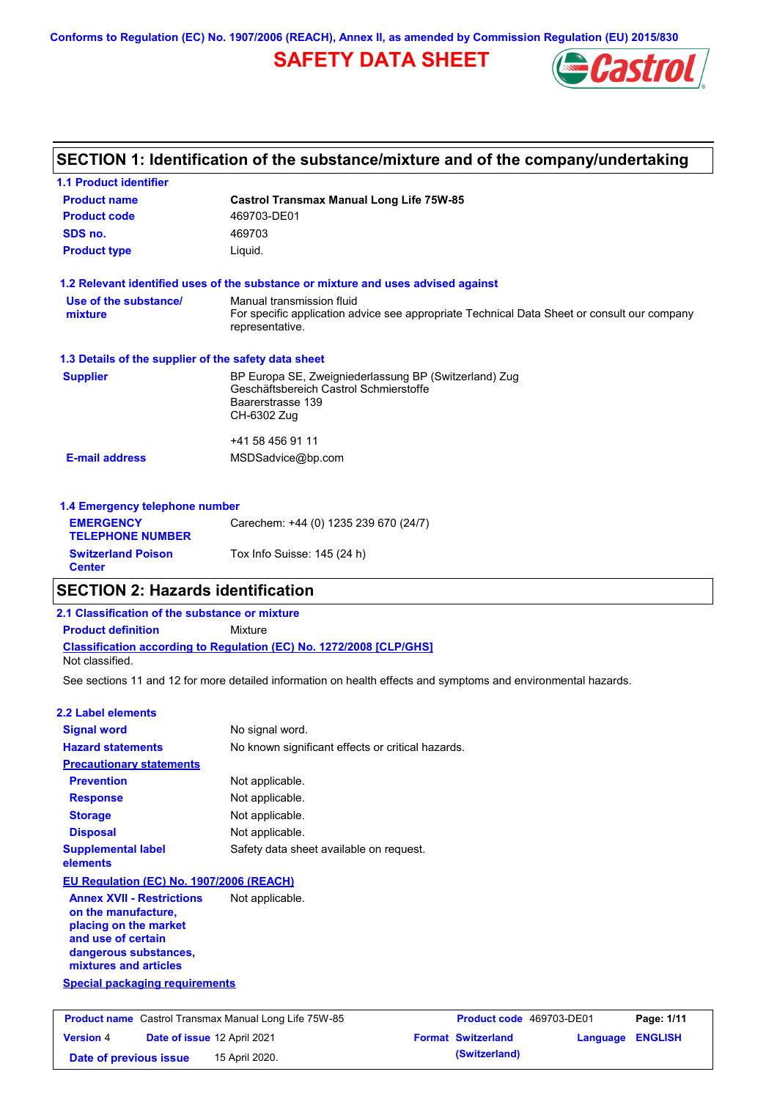**Conforms to Regulation (EC) No. 1907/2006 (REACH), Annex II, as amended by Commission Regulation (EU) 2015/830**

# **SAFETY DATA SHEET**



## **SECTION 1: Identification of the substance/mixture and of the company/undertaking**

| <b>1.1 Product identifier</b>                        |                                                                                                                                     |  |  |  |  |
|------------------------------------------------------|-------------------------------------------------------------------------------------------------------------------------------------|--|--|--|--|
| <b>Product name</b>                                  | <b>Castrol Transmax Manual Long Life 75W-85</b>                                                                                     |  |  |  |  |
| <b>Product code</b>                                  | 469703-DE01                                                                                                                         |  |  |  |  |
| SDS no.                                              | 469703                                                                                                                              |  |  |  |  |
| <b>Product type</b><br>Liquid.                       |                                                                                                                                     |  |  |  |  |
|                                                      | 1.2 Relevant identified uses of the substance or mixture and uses advised against                                                   |  |  |  |  |
| Use of the substance/                                | Manual transmission fluid                                                                                                           |  |  |  |  |
| mixture                                              | For specific application advice see appropriate Technical Data Sheet or consult our company<br>representative.                      |  |  |  |  |
| 1.3 Details of the supplier of the safety data sheet |                                                                                                                                     |  |  |  |  |
| <b>Supplier</b>                                      | BP Europa SE, Zweigniederlassung BP (Switzerland) Zug<br>Geschäftsbereich Castrol Schmierstoffe<br>Baarerstrasse 139<br>CH-6302 Zug |  |  |  |  |
|                                                      | +41 58 456 91 11                                                                                                                    |  |  |  |  |
| <b>E-mail address</b>                                | MSDSadvice@bp.com                                                                                                                   |  |  |  |  |
| 1.4 Emergency telephone number                       |                                                                                                                                     |  |  |  |  |
| <b>EMERGENCY</b><br><b>TELEPHONE NUMBER</b>          | Carechem: +44 (0) 1235 239 670 (24/7)                                                                                               |  |  |  |  |
| <b>Switzerland Poison</b>                            | Tox Info Suisse: 145 (24 h)                                                                                                         |  |  |  |  |

## **SECTION 2: Hazards identification**

## **Classification according to Regulation (EC) No. 1272/2008 [CLP/GHS] 2.1 Classification of the substance or mixture Product definition** Mixture Not classified.

See sections 11 and 12 for more detailed information on health effects and symptoms and environmental hazards.

### **2.2 Label elements**

**Center**

| <b>Signal word</b>                                                                                                                                                                         | No signal word.                                   |
|--------------------------------------------------------------------------------------------------------------------------------------------------------------------------------------------|---------------------------------------------------|
| <b>Hazard statements</b>                                                                                                                                                                   | No known significant effects or critical hazards. |
| <b>Precautionary statements</b>                                                                                                                                                            |                                                   |
| <b>Prevention</b>                                                                                                                                                                          | Not applicable.                                   |
| <b>Response</b>                                                                                                                                                                            | Not applicable.                                   |
| <b>Storage</b>                                                                                                                                                                             | Not applicable.                                   |
| <b>Disposal</b>                                                                                                                                                                            | Not applicable.                                   |
| <b>Supplemental label</b><br>elements                                                                                                                                                      | Safety data sheet available on request.           |
| EU Regulation (EC) No. 1907/2006 (REACH)                                                                                                                                                   |                                                   |
| <b>Annex XVII - Restrictions</b><br>on the manufacture,<br>placing on the market<br>and use of certain<br>dangerous substances,<br>mixtures and articles<br>Special packaging requirements | Not applicable.                                   |
|                                                                                                                                                                                            |                                                   |

| <b>Product name</b> Castrol Transmax Manual Long Life 75W-85 |                                    |                | <b>Product code</b> 469703-DE01 | Page: 1/11       |  |
|--------------------------------------------------------------|------------------------------------|----------------|---------------------------------|------------------|--|
| <b>Version 4</b>                                             | <b>Date of issue 12 April 2021</b> |                | <b>Format Switzerland</b>       | Language ENGLISH |  |
| Date of previous issue                                       |                                    | 15 April 2020. | (Switzerland)                   |                  |  |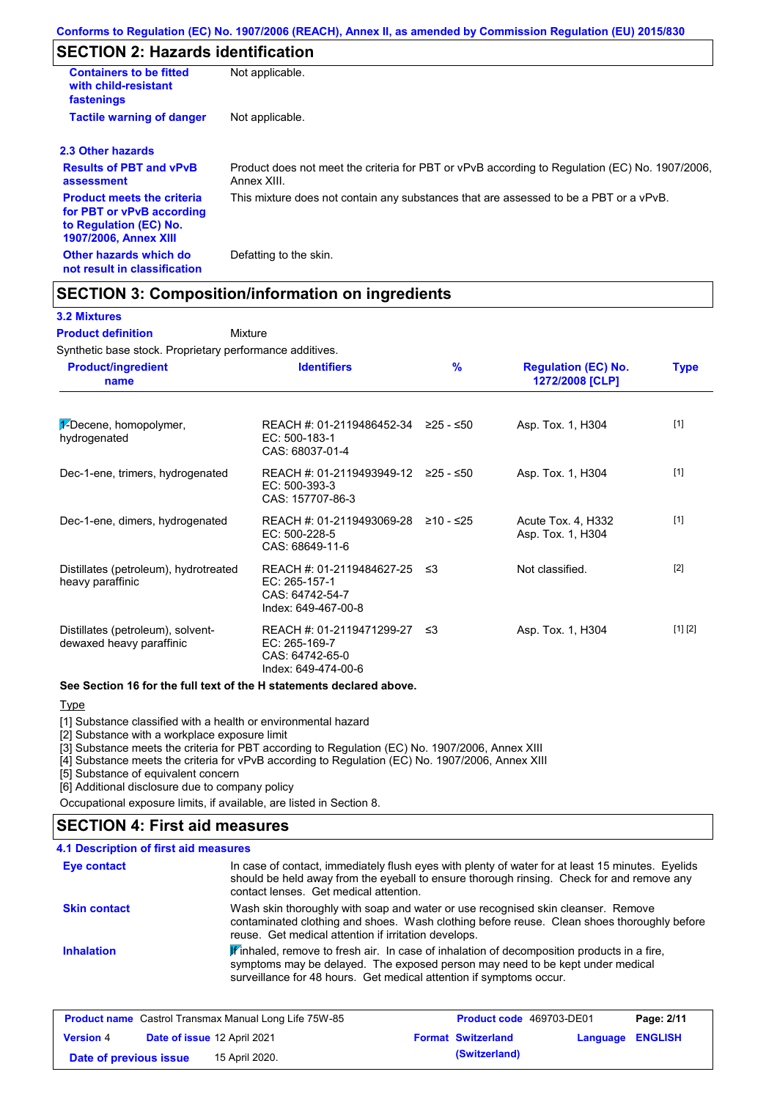# **SECTION 2: Hazards identification**

| <b>Containers to be fitted</b><br>with child-resistant<br>fastenings                                                     | Not applicable.                                                                                               |  |
|--------------------------------------------------------------------------------------------------------------------------|---------------------------------------------------------------------------------------------------------------|--|
| <b>Tactile warning of danger</b><br>Not applicable.                                                                      |                                                                                                               |  |
| 2.3 Other hazards                                                                                                        |                                                                                                               |  |
| <b>Results of PBT and vPvB</b><br>assessment                                                                             | Product does not meet the criteria for PBT or vPvB according to Regulation (EC) No. 1907/2006,<br>Annex XIII. |  |
| <b>Product meets the criteria</b><br>for PBT or vPvB according<br>to Regulation (EC) No.<br><b>1907/2006, Annex XIII</b> | This mixture does not contain any substances that are assessed to be a PBT or a vPvB.                         |  |
| Other hazards which do<br>not result in classification                                                                   | Defatting to the skin.                                                                                        |  |

## **SECTION 3: Composition/information on ingredients**

Mixture

#### **3.2 Mixtures**

#### **Product definition**

Synthetic base stock. Proprietary performance additives.

| <b>Product/ingredient</b><br>name                             | <b>Identifiers</b>                                                                      | $\frac{9}{6}$ | <b>Regulation (EC) No.</b><br>1272/2008 [CLP] | <b>Type</b> |
|---------------------------------------------------------------|-----------------------------------------------------------------------------------------|---------------|-----------------------------------------------|-------------|
| $\frac{1}{2}$ -Decene, homopolymer,<br>hydrogenated           | REACH #: 01-2119486452-34 $\geq$ 25 - $\leq$ 50<br>$EC: 500-183-1$<br>CAS: 68037-01-4   |               | Asp. Tox. 1, H304                             | $[1]$       |
| Dec-1-ene, trimers, hydrogenated                              | REACH #: 01-2119493949-12 ≥25 - ≤50<br>EC: 500-393-3<br>CAS: 157707-86-3                |               | Asp. Tox. 1, H304                             | $[1]$       |
| Dec-1-ene, dimers, hydrogenated                               | REACH #: 01-2119493069-28<br>EC: 500-228-5<br>CAS: 68649-11-6                           | ≥10 - ≤25     | Acute Tox. 4, H332<br>Asp. Tox. 1, H304       | $[1]$       |
| Distillates (petroleum), hydrotreated<br>heavy paraffinic     | REACH #: 01-2119484627-25 ≤3<br>EC: 265-157-1<br>CAS: 64742-54-7<br>Index: 649-467-00-8 |               | Not classified.                               | $[2]$       |
| Distillates (petroleum), solvent-<br>dewaxed heavy paraffinic | REACH #: 01-2119471299-27<br>EC: 265-169-7<br>CAS: 64742-65-0<br>Index: 649-474-00-6    | -≤3           | Asp. Tox. 1, H304                             | [1] [2]     |

#### **See Section 16 for the full text of the H statements declared above.**

#### **Type**

[1] Substance classified with a health or environmental hazard

[2] Substance with a workplace exposure limit

[3] Substance meets the criteria for PBT according to Regulation (EC) No. 1907/2006, Annex XIII

[4] Substance meets the criteria for vPvB according to Regulation (EC) No. 1907/2006, Annex XIII

[5] Substance of equivalent concern

[6] Additional disclosure due to company policy

Occupational exposure limits, if available, are listed in Section 8.

### **4.1 Description of first aid measures SECTION 4: First aid measures**

| Eye contact         | In case of contact, immediately flush eyes with plenty of water for at least 15 minutes. Eyelids<br>should be held away from the eyeball to ensure thorough rinsing. Check for and remove any<br>contact lenses. Get medical attention.           |
|---------------------|---------------------------------------------------------------------------------------------------------------------------------------------------------------------------------------------------------------------------------------------------|
| <b>Skin contact</b> | Wash skin thoroughly with soap and water or use recognised skin cleanser. Remove<br>contaminated clothing and shoes. Wash clothing before reuse. Clean shoes thoroughly before<br>reuse. Get medical attention if irritation develops.            |
| <b>Inhalation</b>   | Finhaled, remove to fresh air. In case of inhalation of decomposition products in a fire,<br>symptoms may be delayed. The exposed person may need to be kept under medical<br>surveillance for 48 hours. Get medical attention if symptoms occur. |

|                        |                             | <b>Product name</b> Castrol Transmax Manual Long Life 75W-85 | Product code 469703-DE01  |                         | Page: 2/11 |
|------------------------|-----------------------------|--------------------------------------------------------------|---------------------------|-------------------------|------------|
| <b>Version 4</b>       | Date of issue 12 April 2021 |                                                              | <b>Format Switzerland</b> | <b>Language ENGLISH</b> |            |
| Date of previous issue |                             | 15 April 2020.                                               | (Switzerland)             |                         |            |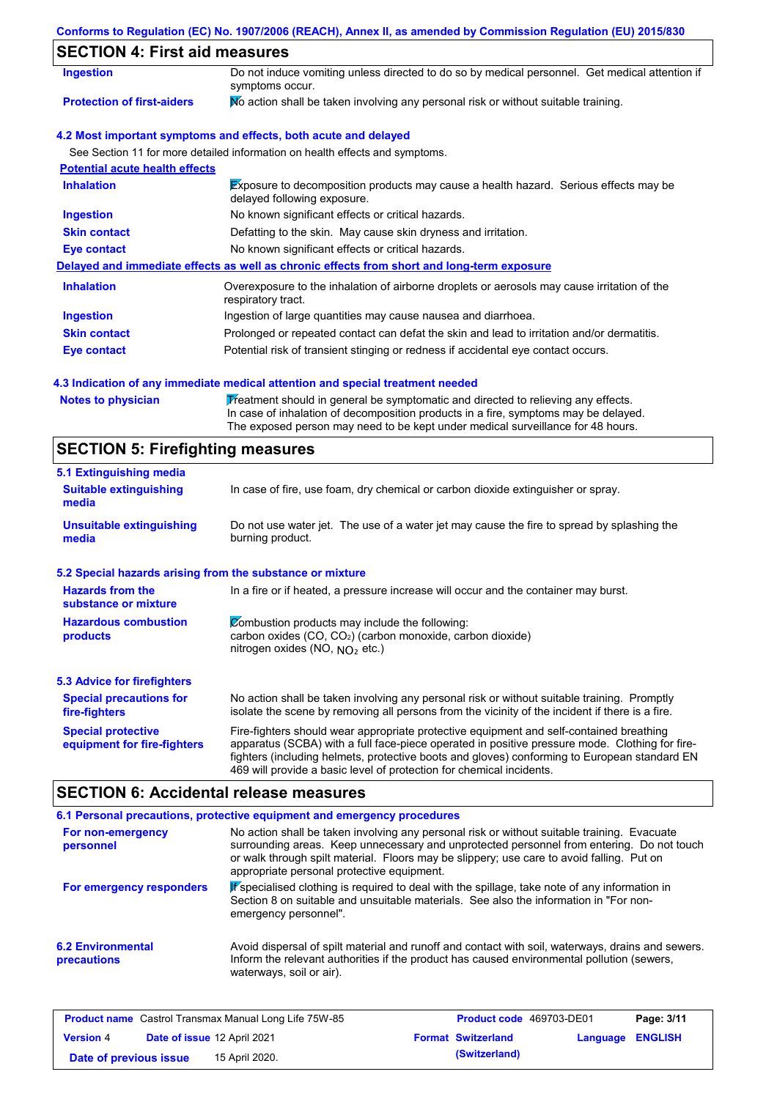## **Conforms to Regulation (EC) No. 1907/2006 (REACH), Annex II, as amended by Commission Regulation (EU) 2015/830**

# **SECTION 4: First aid measures**

| <b>Ingestion</b>                      | Do not induce vomiting unless directed to do so by medical personnel. Get medical attention if<br>symptoms occur.   |
|---------------------------------------|---------------------------------------------------------------------------------------------------------------------|
| <b>Protection of first-aiders</b>     | No action shall be taken involving any personal risk or without suitable training.                                  |
|                                       | 4.2 Most important symptoms and effects, both acute and delayed                                                     |
|                                       | See Section 11 for more detailed information on health effects and symptoms.                                        |
| <b>Potential acute health effects</b> |                                                                                                                     |
| <b>Inhalation</b>                     | Exposure to decomposition products may cause a health hazard. Serious effects may be<br>delayed following exposure. |
| <b>Ingestion</b>                      | No known significant effects or critical hazards.                                                                   |
| <b>Skin contact</b>                   | Defatting to the skin. May cause skin dryness and irritation.                                                       |
| Eye contact                           | No known significant effects or critical hazards.                                                                   |
|                                       | Delayed and immediate effects as well as chronic effects from short and long-term exposure                          |
| <b>Inhalation</b>                     | Overexposure to the inhalation of airborne droplets or aerosols may cause irritation of the<br>respiratory tract.   |
| <b>Ingestion</b>                      | Ingestion of large quantities may cause nausea and diarrhoea.                                                       |
| <b>Skin contact</b>                   | Prolonged or repeated contact can defat the skin and lead to irritation and/or dermatitis.                          |
| Eye contact                           | Potential risk of transient stinging or redness if accidental eye contact occurs.                                   |

#### **4.3 Indication of any immediate medical attention and special treatment needed**

Notes to physician **Treatment should in general be symptomatic and directed to relieving any effects.** In case of inhalation of decomposition products in a fire, symptoms may be delayed. The exposed person may need to be kept under medical surveillance for 48 hours.

## **SECTION 5: Firefighting measures**

| 5.1 Extinguishing media                                                                                                                                                                                                                                                                                                                                                                                                       |                                                                                     |  |  |
|-------------------------------------------------------------------------------------------------------------------------------------------------------------------------------------------------------------------------------------------------------------------------------------------------------------------------------------------------------------------------------------------------------------------------------|-------------------------------------------------------------------------------------|--|--|
| <b>Suitable extinguishing</b><br>In case of fire, use foam, dry chemical or carbon dioxide extinguisher or spray.<br>media                                                                                                                                                                                                                                                                                                    |                                                                                     |  |  |
| <b>Unsuitable extinguishing</b><br>Do not use water jet. The use of a water jet may cause the fire to spread by splashing the<br>burning product.<br>media                                                                                                                                                                                                                                                                    |                                                                                     |  |  |
| 5.2 Special hazards arising from the substance or mixture                                                                                                                                                                                                                                                                                                                                                                     |                                                                                     |  |  |
| <b>Hazards from the</b><br>substance or mixture                                                                                                                                                                                                                                                                                                                                                                               | In a fire or if heated, a pressure increase will occur and the container may burst. |  |  |
| Combustion products may include the following:<br><b>Hazardous combustion</b><br>carbon oxides $(CO, CO2)$ (carbon monoxide, carbon dioxide)<br>products<br>nitrogen oxides (NO, NO <sub>2</sub> etc.)                                                                                                                                                                                                                        |                                                                                     |  |  |
| <b>5.3 Advice for firefighters</b>                                                                                                                                                                                                                                                                                                                                                                                            |                                                                                     |  |  |
| No action shall be taken involving any personal risk or without suitable training. Promptly<br><b>Special precautions for</b><br>isolate the scene by removing all persons from the vicinity of the incident if there is a fire.<br>fire-fighters                                                                                                                                                                             |                                                                                     |  |  |
| Fire-fighters should wear appropriate protective equipment and self-contained breathing<br><b>Special protective</b><br>apparatus (SCBA) with a full face-piece operated in positive pressure mode. Clothing for fire-<br>equipment for fire-fighters<br>fighters (including helmets, protective boots and gloves) conforming to European standard EN<br>469 will provide a basic level of protection for chemical incidents. |                                                                                     |  |  |

# **SECTION 6: Accidental release measures**

|                                         | 6.1 Personal precautions, protective equipment and emergency procedures                                                                                                                                                                                                                                                             |
|-----------------------------------------|-------------------------------------------------------------------------------------------------------------------------------------------------------------------------------------------------------------------------------------------------------------------------------------------------------------------------------------|
| For non-emergency<br>personnel          | No action shall be taken involving any personal risk or without suitable training. Evacuate<br>surrounding areas. Keep unnecessary and unprotected personnel from entering. Do not touch<br>or walk through spilt material. Floors may be slippery; use care to avoid falling. Put on<br>appropriate personal protective equipment. |
| For emergency responders                | Pspecialised clothing is required to deal with the spillage, take note of any information in<br>Section 8 on suitable and unsuitable materials. See also the information in "For non-<br>emergency personnel".                                                                                                                      |
| <b>6.2 Environmental</b><br>precautions | Avoid dispersal of spilt material and runoff and contact with soil, waterways, drains and sewers.<br>Inform the relevant authorities if the product has caused environmental pollution (sewers,<br>waterways, soil or air).                                                                                                         |

|                        |                             | <b>Product name</b> Castrol Transmax Manual Long Life 75W-85 | <b>Product code</b> 469703-DE01 |                         | Page: 3/11 |
|------------------------|-----------------------------|--------------------------------------------------------------|---------------------------------|-------------------------|------------|
| <b>Version 4</b>       | Date of issue 12 April 2021 |                                                              | <b>Format Switzerland</b>       | <b>Language ENGLISH</b> |            |
| Date of previous issue |                             | 15 April 2020.                                               | (Switzerland)                   |                         |            |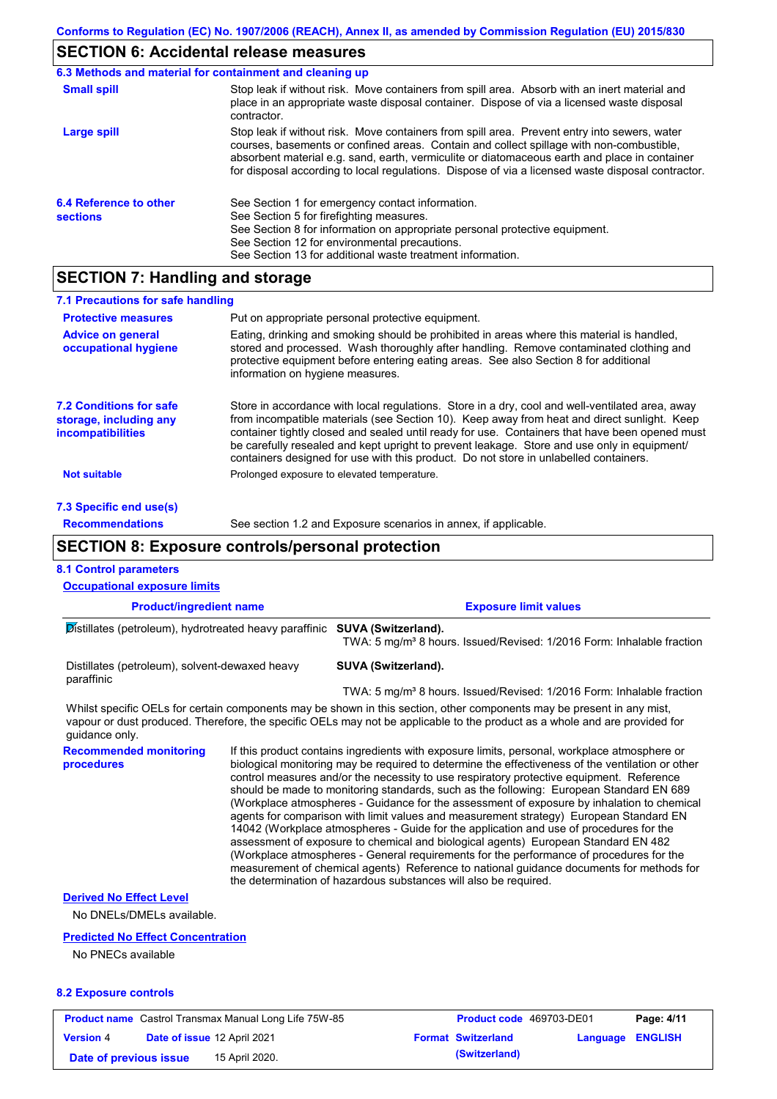## **SECTION 6: Accidental release measures**

|                                           | 6.3 Methods and material for containment and cleaning up                                                                                                                                                                                                                                                                                                                                       |
|-------------------------------------------|------------------------------------------------------------------------------------------------------------------------------------------------------------------------------------------------------------------------------------------------------------------------------------------------------------------------------------------------------------------------------------------------|
| <b>Small spill</b>                        | Stop leak if without risk. Move containers from spill area. Absorb with an inert material and<br>place in an appropriate waste disposal container. Dispose of via a licensed waste disposal<br>contractor.                                                                                                                                                                                     |
| Large spill                               | Stop leak if without risk. Move containers from spill area. Prevent entry into sewers, water<br>courses, basements or confined areas. Contain and collect spillage with non-combustible.<br>absorbent material e.g. sand, earth, vermiculite or diatomaceous earth and place in container<br>for disposal according to local regulations. Dispose of via a licensed waste disposal contractor. |
| 6.4 Reference to other<br><b>sections</b> | See Section 1 for emergency contact information.<br>See Section 5 for firefighting measures.<br>See Section 8 for information on appropriate personal protective equipment.<br>See Section 12 for environmental precautions.<br>See Section 13 for additional waste treatment information.                                                                                                     |

## **SECTION 7: Handling and storage**

| 7.1 Precautions for safe handling                                                    |                                                                                                                                                                                                                                                                                                                                                                                                                                                                                          |
|--------------------------------------------------------------------------------------|------------------------------------------------------------------------------------------------------------------------------------------------------------------------------------------------------------------------------------------------------------------------------------------------------------------------------------------------------------------------------------------------------------------------------------------------------------------------------------------|
| <b>Protective measures</b>                                                           | Put on appropriate personal protective equipment.                                                                                                                                                                                                                                                                                                                                                                                                                                        |
| <b>Advice on general</b><br>occupational hygiene                                     | Eating, drinking and smoking should be prohibited in areas where this material is handled.<br>stored and processed. Wash thoroughly after handling. Remove contaminated clothing and<br>protective equipment before entering eating areas. See also Section 8 for additional<br>information on hygiene measures.                                                                                                                                                                         |
| <b>7.2 Conditions for safe</b><br>storage, including any<br><i>incompatibilities</i> | Store in accordance with local regulations. Store in a dry, cool and well-ventilated area, away<br>from incompatible materials (see Section 10). Keep away from heat and direct sunlight. Keep<br>container tightly closed and sealed until ready for use. Containers that have been opened must<br>be carefully resealed and kept upright to prevent leakage. Store and use only in equipment/<br>containers designed for use with this product. Do not store in unlabelled containers. |
| <b>Not suitable</b>                                                                  | Prolonged exposure to elevated temperature.                                                                                                                                                                                                                                                                                                                                                                                                                                              |
| 7.3 Specific end use(s)                                                              |                                                                                                                                                                                                                                                                                                                                                                                                                                                                                          |

**Recommendations**

See section 1.2 and Exposure scenarios in annex, if applicable.

## **SECTION 8: Exposure controls/personal protection**

### **Product/ingredient name Exposure limit values Recommended monitoring procedures** If this product contains ingredients with exposure limits, personal, workplace atmosphere or biological monitoring may be required to determine the effectiveness of the ventilation or other control measures and/or the necessity to use respiratory protective equipment. Reference should be made to monitoring standards, such as the following: European Standard EN 689 (Workplace atmospheres - Guidance for the assessment of exposure by inhalation to chemical agents for comparison with limit values and measurement strategy) European Standard EN 14042 (Workplace atmospheres - Guide for the application and use of procedures for the assessment of exposure to chemical and biological agents) European Standard EN 482 (Workplace atmospheres - General requirements for the performance of procedures for the measurement of chemical agents) Reference to national guidance documents for methods for the determination of hazardous substances will also be required. **8.2 Exposure controls** No DNELs/DMELs available. **Predicted No Effect Concentration** No PNECs available **8.1 Control parameters Derived No Effect Level** Whilst specific OELs for certain components may be shown in this section, other components may be present in any mist, vapour or dust produced. Therefore, the specific OELs may not be applicable to the product as a whole and are provided for guidance only. **Occupational exposure limits** Distillates (petroleum), hydrotreated heavy paraffinic **SUVA (Switzerland).** TWA: 5 mg/m<sup>3</sup> 8 hours. Issued/Revised: 1/2016 Form: Inhalable fraction Distillates (petroleum), solvent-dewaxed heavy paraffinic **SUVA (Switzerland).** TWA: 5 mg/m<sup>3</sup> 8 hours. Issued/Revised: 1/2016 Form: Inhalable fraction **Product name** Castrol Transmax Manual Long Life 75W-85 **Product code** 469703-DE01 **Page: 4/11 Version** 4

**Date of issue** 12 April 2021 **Format Switzerland Language ENGLISH Date of previous issue 15 April 2020. (Switzerland) (Switzerland)**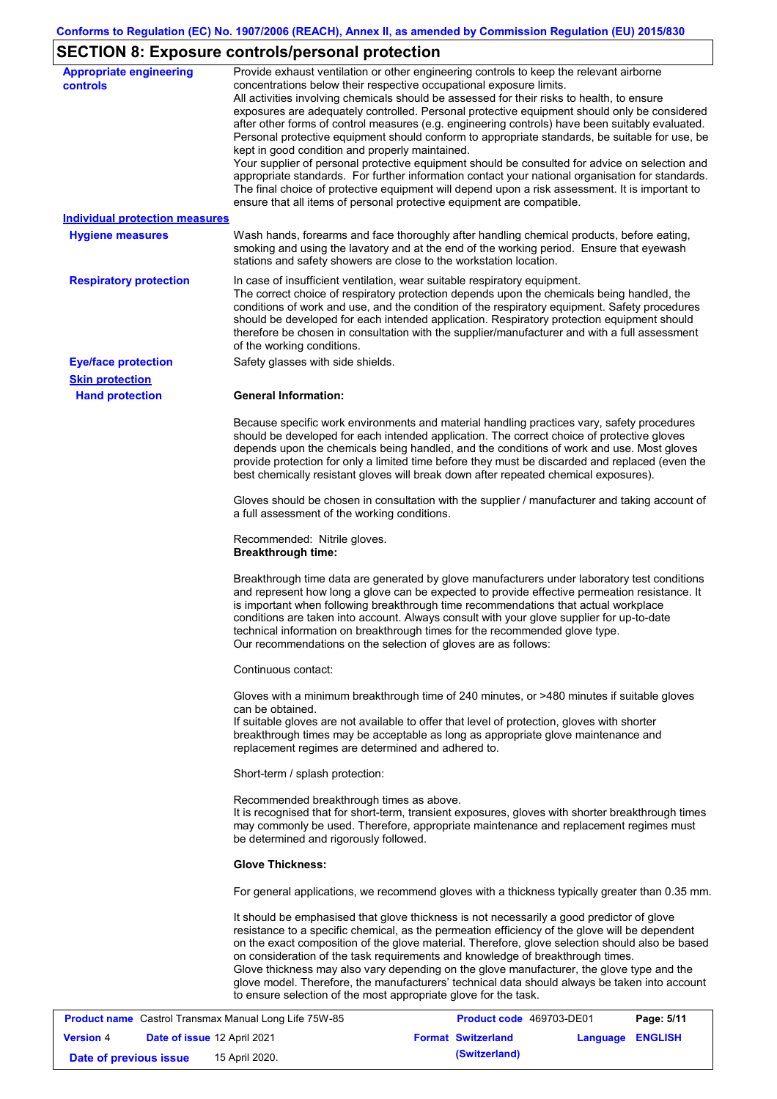# **SECTION 8: Exposure controls/personal protection**

| <b>Appropriate engineering</b><br><b>controls</b> | Provide exhaust ventilation or other engineering controls to keep the relevant airborne<br>concentrations below their respective occupational exposure limits.<br>All activities involving chemicals should be assessed for their risks to health, to ensure<br>exposures are adequately controlled. Personal protective equipment should only be considered<br>after other forms of control measures (e.g. engineering controls) have been suitably evaluated.<br>Personal protective equipment should conform to appropriate standards, be suitable for use, be<br>kept in good condition and properly maintained.<br>Your supplier of personal protective equipment should be consulted for advice on selection and<br>appropriate standards. For further information contact your national organisation for standards.<br>The final choice of protective equipment will depend upon a risk assessment. It is important to<br>ensure that all items of personal protective equipment are compatible. |
|---------------------------------------------------|---------------------------------------------------------------------------------------------------------------------------------------------------------------------------------------------------------------------------------------------------------------------------------------------------------------------------------------------------------------------------------------------------------------------------------------------------------------------------------------------------------------------------------------------------------------------------------------------------------------------------------------------------------------------------------------------------------------------------------------------------------------------------------------------------------------------------------------------------------------------------------------------------------------------------------------------------------------------------------------------------------|
| <b>Individual protection measures</b>             |                                                                                                                                                                                                                                                                                                                                                                                                                                                                                                                                                                                                                                                                                                                                                                                                                                                                                                                                                                                                         |
| <b>Hygiene measures</b>                           | Wash hands, forearms and face thoroughly after handling chemical products, before eating,<br>smoking and using the lavatory and at the end of the working period. Ensure that eyewash<br>stations and safety showers are close to the workstation location.                                                                                                                                                                                                                                                                                                                                                                                                                                                                                                                                                                                                                                                                                                                                             |
| <b>Respiratory protection</b>                     | In case of insufficient ventilation, wear suitable respiratory equipment.<br>The correct choice of respiratory protection depends upon the chemicals being handled, the<br>conditions of work and use, and the condition of the respiratory equipment. Safety procedures<br>should be developed for each intended application. Respiratory protection equipment should<br>therefore be chosen in consultation with the supplier/manufacturer and with a full assessment<br>of the working conditions.                                                                                                                                                                                                                                                                                                                                                                                                                                                                                                   |
| <b>Eye/face protection</b>                        | Safety glasses with side shields.                                                                                                                                                                                                                                                                                                                                                                                                                                                                                                                                                                                                                                                                                                                                                                                                                                                                                                                                                                       |
| <b>Skin protection</b>                            |                                                                                                                                                                                                                                                                                                                                                                                                                                                                                                                                                                                                                                                                                                                                                                                                                                                                                                                                                                                                         |
| <b>Hand protection</b>                            | <b>General Information:</b>                                                                                                                                                                                                                                                                                                                                                                                                                                                                                                                                                                                                                                                                                                                                                                                                                                                                                                                                                                             |
|                                                   | Because specific work environments and material handling practices vary, safety procedures<br>should be developed for each intended application. The correct choice of protective gloves<br>depends upon the chemicals being handled, and the conditions of work and use. Most gloves<br>provide protection for only a limited time before they must be discarded and replaced (even the<br>best chemically resistant gloves will break down after repeated chemical exposures).                                                                                                                                                                                                                                                                                                                                                                                                                                                                                                                        |
|                                                   | Gloves should be chosen in consultation with the supplier / manufacturer and taking account of<br>a full assessment of the working conditions.                                                                                                                                                                                                                                                                                                                                                                                                                                                                                                                                                                                                                                                                                                                                                                                                                                                          |
|                                                   | Recommended: Nitrile gloves.<br><b>Breakthrough time:</b>                                                                                                                                                                                                                                                                                                                                                                                                                                                                                                                                                                                                                                                                                                                                                                                                                                                                                                                                               |
|                                                   | Breakthrough time data are generated by glove manufacturers under laboratory test conditions<br>and represent how long a glove can be expected to provide effective permeation resistance. It<br>is important when following breakthrough time recommendations that actual workplace<br>conditions are taken into account. Always consult with your glove supplier for up-to-date<br>technical information on breakthrough times for the recommended glove type.<br>Our recommendations on the selection of gloves are as follows:                                                                                                                                                                                                                                                                                                                                                                                                                                                                      |
|                                                   | Continuous contact:                                                                                                                                                                                                                                                                                                                                                                                                                                                                                                                                                                                                                                                                                                                                                                                                                                                                                                                                                                                     |
|                                                   | Gloves with a minimum breakthrough time of 240 minutes, or >480 minutes if suitable gloves<br>can be obtained.<br>If suitable gloves are not available to offer that level of protection, gloves with shorter<br>breakthrough times may be acceptable as long as appropriate glove maintenance and<br>replacement regimes are determined and adhered to.                                                                                                                                                                                                                                                                                                                                                                                                                                                                                                                                                                                                                                                |
|                                                   | Short-term / splash protection:                                                                                                                                                                                                                                                                                                                                                                                                                                                                                                                                                                                                                                                                                                                                                                                                                                                                                                                                                                         |
|                                                   | Recommended breakthrough times as above.<br>It is recognised that for short-term, transient exposures, gloves with shorter breakthrough times<br>may commonly be used. Therefore, appropriate maintenance and replacement regimes must<br>be determined and rigorously followed.                                                                                                                                                                                                                                                                                                                                                                                                                                                                                                                                                                                                                                                                                                                        |
|                                                   | <b>Glove Thickness:</b>                                                                                                                                                                                                                                                                                                                                                                                                                                                                                                                                                                                                                                                                                                                                                                                                                                                                                                                                                                                 |
|                                                   | For general applications, we recommend gloves with a thickness typically greater than 0.35 mm.                                                                                                                                                                                                                                                                                                                                                                                                                                                                                                                                                                                                                                                                                                                                                                                                                                                                                                          |
|                                                   | It should be emphasised that glove thickness is not necessarily a good predictor of glove<br>resistance to a specific chemical, as the permeation efficiency of the glove will be dependent<br>on the exact composition of the glove material. Therefore, glove selection should also be based<br>on consideration of the task requirements and knowledge of breakthrough times.<br>Glove thickness may also vary depending on the glove manufacturer, the glove type and the<br>glove model. Therefore, the manufacturers' technical data should always be taken into account<br>to ensure selection of the most appropriate glove for the task.                                                                                                                                                                                                                                                                                                                                                       |

| <b>Product name</b> Castrol Transmax Manual Long Life 75W-85 |                                    |                | <b>Product code</b> 469703-DE01 | Page: 5/11                |                  |  |
|--------------------------------------------------------------|------------------------------------|----------------|---------------------------------|---------------------------|------------------|--|
| <b>Version 4</b>                                             | <b>Date of issue 12 April 2021</b> |                |                                 | <b>Format Switzerland</b> | Language ENGLISH |  |
| Date of previous issue                                       |                                    | 15 April 2020. |                                 | (Switzerland)             |                  |  |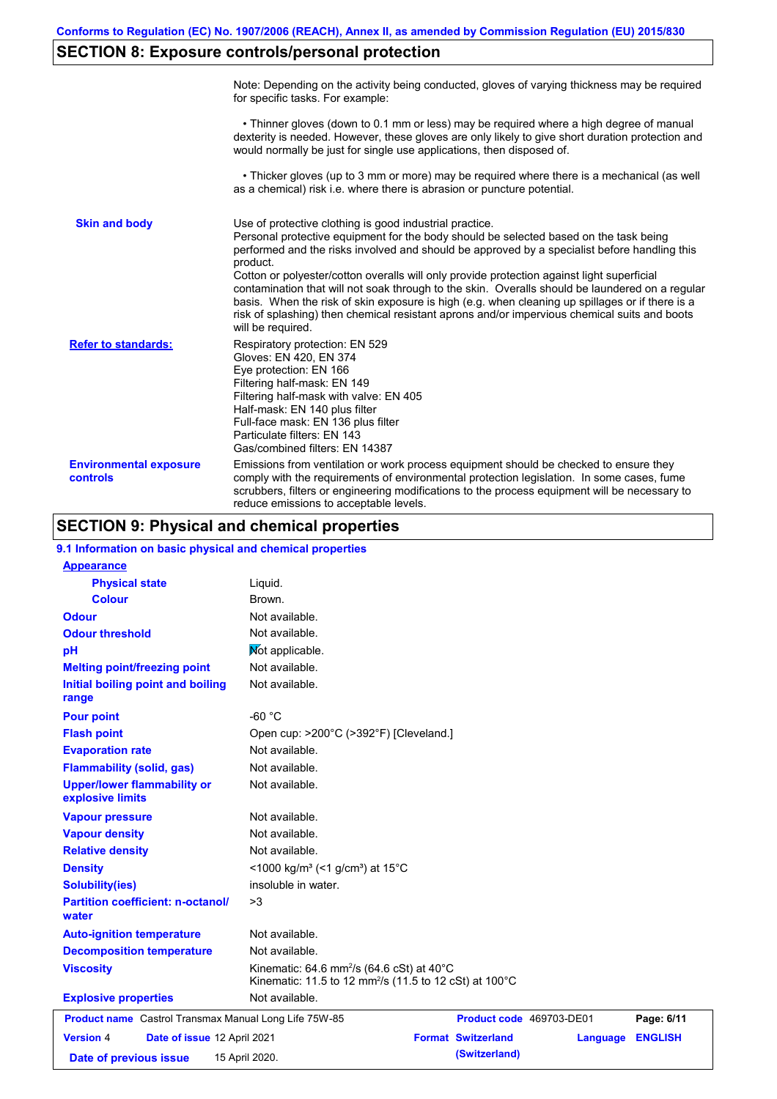# **SECTION 8: Exposure controls/personal protection**

|                                           | Note: Depending on the activity being conducted, gloves of varying thickness may be required<br>for specific tasks. For example:                                                                                                                                                                                                                                                                                                                                                                                                                                                                                                                                                      |
|-------------------------------------------|---------------------------------------------------------------------------------------------------------------------------------------------------------------------------------------------------------------------------------------------------------------------------------------------------------------------------------------------------------------------------------------------------------------------------------------------------------------------------------------------------------------------------------------------------------------------------------------------------------------------------------------------------------------------------------------|
|                                           | • Thinner gloves (down to 0.1 mm or less) may be required where a high degree of manual<br>dexterity is needed. However, these gloves are only likely to give short duration protection and<br>would normally be just for single use applications, then disposed of.                                                                                                                                                                                                                                                                                                                                                                                                                  |
|                                           | • Thicker gloves (up to 3 mm or more) may be required where there is a mechanical (as well<br>as a chemical) risk i.e. where there is abrasion or puncture potential.                                                                                                                                                                                                                                                                                                                                                                                                                                                                                                                 |
| <b>Skin and body</b>                      | Use of protective clothing is good industrial practice.<br>Personal protective equipment for the body should be selected based on the task being<br>performed and the risks involved and should be approved by a specialist before handling this<br>product.<br>Cotton or polyester/cotton overalls will only provide protection against light superficial<br>contamination that will not soak through to the skin. Overalls should be laundered on a regular<br>basis. When the risk of skin exposure is high (e.g. when cleaning up spillages or if there is a<br>risk of splashing) then chemical resistant aprons and/or impervious chemical suits and boots<br>will be required. |
| <b>Refer to standards:</b>                | Respiratory protection: EN 529<br>Gloves: EN 420, EN 374<br>Eye protection: EN 166<br>Filtering half-mask: EN 149<br>Filtering half-mask with valve: EN 405<br>Half-mask: EN 140 plus filter<br>Full-face mask: EN 136 plus filter<br>Particulate filters: EN 143<br>Gas/combined filters: EN 14387                                                                                                                                                                                                                                                                                                                                                                                   |
| <b>Environmental exposure</b><br>controls | Emissions from ventilation or work process equipment should be checked to ensure they<br>comply with the requirements of environmental protection legislation. In some cases, fume<br>scrubbers, filters or engineering modifications to the process equipment will be necessary to<br>reduce emissions to acceptable levels.                                                                                                                                                                                                                                                                                                                                                         |

# **SECTION 9: Physical and chemical properties**

| 9.1 Information on basic physical and chemical properties |                                                                                                                                        |                           |                          |                |
|-----------------------------------------------------------|----------------------------------------------------------------------------------------------------------------------------------------|---------------------------|--------------------------|----------------|
| <b>Appearance</b>                                         |                                                                                                                                        |                           |                          |                |
| <b>Physical state</b>                                     | Liquid.                                                                                                                                |                           |                          |                |
| <b>Colour</b>                                             | Brown.                                                                                                                                 |                           |                          |                |
| <b>Odour</b>                                              | Not available.                                                                                                                         |                           |                          |                |
| <b>Odour threshold</b>                                    | Not available.                                                                                                                         |                           |                          |                |
| pH                                                        | Mot applicable.                                                                                                                        |                           |                          |                |
| <b>Melting point/freezing point</b>                       | Not available.                                                                                                                         |                           |                          |                |
| Initial boiling point and boiling<br>range                | Not available.                                                                                                                         |                           |                          |                |
| <b>Pour point</b>                                         | $-60 °C$                                                                                                                               |                           |                          |                |
| <b>Flash point</b>                                        | Open cup: >200°C (>392°F) [Cleveland.]                                                                                                 |                           |                          |                |
| <b>Evaporation rate</b>                                   | Not available.                                                                                                                         |                           |                          |                |
| <b>Flammability (solid, gas)</b>                          | Not available.                                                                                                                         |                           |                          |                |
| <b>Upper/lower flammability or</b><br>explosive limits    | Not available.                                                                                                                         |                           |                          |                |
| <b>Vapour pressure</b>                                    | Not available.                                                                                                                         |                           |                          |                |
| <b>Vapour density</b>                                     | Not available.                                                                                                                         |                           |                          |                |
| <b>Relative density</b>                                   | Not available.                                                                                                                         |                           |                          |                |
| <b>Density</b>                                            | <1000 kg/m <sup>3</sup> (<1 g/cm <sup>3</sup> ) at 15 <sup>°</sup> C                                                                   |                           |                          |                |
| <b>Solubility(ies)</b>                                    | insoluble in water.                                                                                                                    |                           |                          |                |
| <b>Partition coefficient: n-octanol/</b><br>water         | >3                                                                                                                                     |                           |                          |                |
| <b>Auto-ignition temperature</b>                          | Not available.                                                                                                                         |                           |                          |                |
| <b>Decomposition temperature</b>                          | Not available.                                                                                                                         |                           |                          |                |
| <b>Viscosity</b>                                          | Kinematic: 64.6 mm <sup>2</sup> /s (64.6 cSt) at 40 $^{\circ}$ C<br>Kinematic: 11.5 to 12 mm <sup>2</sup> /s (11.5 to 12 cSt) at 100°C |                           |                          |                |
| <b>Explosive properties</b>                               | Not available.                                                                                                                         |                           |                          |                |
| Product name Castrol Transmax Manual Long Life 75W-85     |                                                                                                                                        |                           | Product code 469703-DE01 | Page: 6/11     |
| <b>Version 4</b><br>Date of issue 12 April 2021           |                                                                                                                                        | <b>Format Switzerland</b> | Language                 | <b>ENGLISH</b> |
| Date of previous issue                                    | 15 April 2020.                                                                                                                         | (Switzerland)             |                          |                |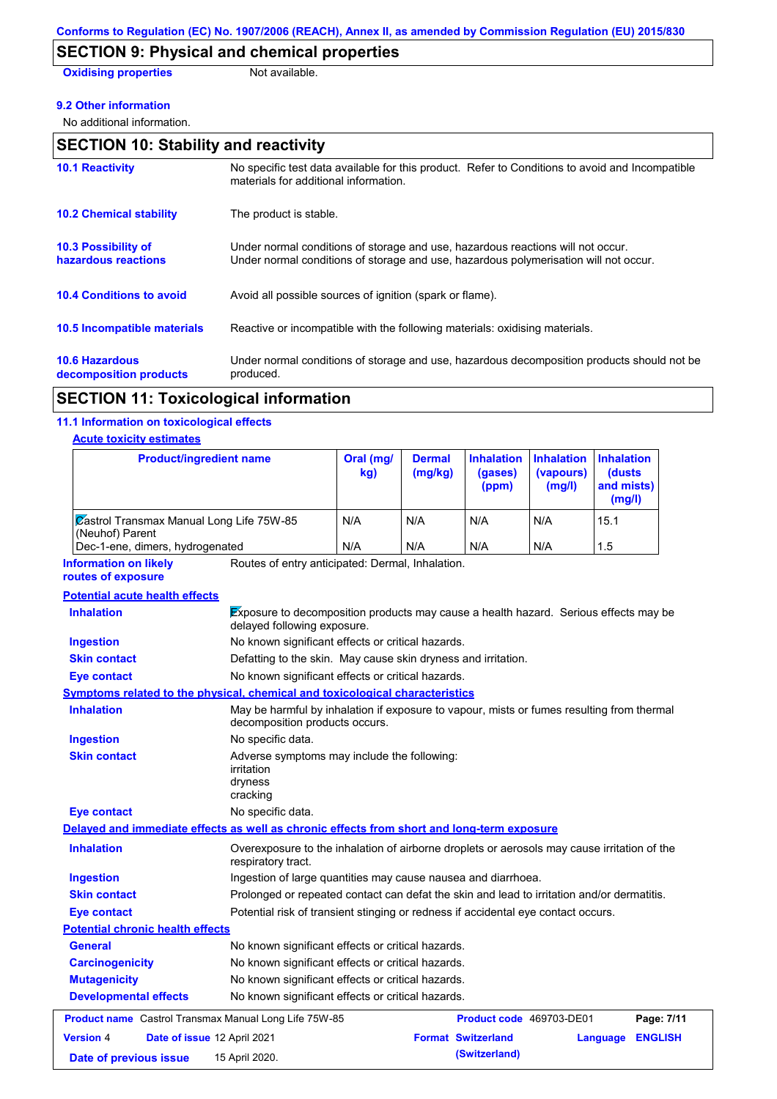# **SECTION 9: Physical and chemical properties**

**Oxidising properties** Not available.

#### **9.2 Other information**

No additional information.

| <b>SECTION 10: Stability and reactivity</b>       |                                                                                                                                                                         |  |  |  |
|---------------------------------------------------|-------------------------------------------------------------------------------------------------------------------------------------------------------------------------|--|--|--|
| <b>10.1 Reactivity</b>                            | No specific test data available for this product. Refer to Conditions to avoid and Incompatible<br>materials for additional information.                                |  |  |  |
| <b>10.2 Chemical stability</b>                    | The product is stable.                                                                                                                                                  |  |  |  |
| <b>10.3 Possibility of</b><br>hazardous reactions | Under normal conditions of storage and use, hazardous reactions will not occur.<br>Under normal conditions of storage and use, hazardous polymerisation will not occur. |  |  |  |
| <b>10.4 Conditions to avoid</b>                   | Avoid all possible sources of ignition (spark or flame).                                                                                                                |  |  |  |
| 10.5 Incompatible materials                       | Reactive or incompatible with the following materials: oxidising materials.                                                                                             |  |  |  |
| <b>10.6 Hazardous</b><br>decomposition products   | Under normal conditions of storage and use, hazardous decomposition products should not be<br>produced.                                                                 |  |  |  |

# **SECTION 11: Toxicological information**

## **11.1 Information on toxicological effects**

## **Acute toxicity estimates**

| <b>Product/ingredient name</b>                                                             |                                                                                                                             | Oral (mg/<br>kg)                                 | <b>Dermal</b><br>(mg/kg) | <b>Inhalation</b><br>(gases)<br>(ppm) | <b>Inhalation</b><br>(vapours)<br>(mg/l) | <b>Inhalation</b><br><b>(dusts)</b><br>and mists)<br>(mq/l) |
|--------------------------------------------------------------------------------------------|-----------------------------------------------------------------------------------------------------------------------------|--------------------------------------------------|--------------------------|---------------------------------------|------------------------------------------|-------------------------------------------------------------|
| <b>Zastrol Transmax Manual Long Life 75W-85</b><br>(Neuhof) Parent                         |                                                                                                                             | N/A                                              | N/A                      | N/A                                   | N/A                                      | 15.1                                                        |
| Dec-1-ene, dimers, hydrogenated                                                            |                                                                                                                             | N/A                                              | N/A                      | N/A                                   | N/A                                      | 1.5                                                         |
| <b>Information on likely</b><br>routes of exposure                                         |                                                                                                                             | Routes of entry anticipated: Dermal, Inhalation. |                          |                                       |                                          |                                                             |
| <b>Potential acute health effects</b>                                                      |                                                                                                                             |                                                  |                          |                                       |                                          |                                                             |
| <b>Inhalation</b>                                                                          | Exposure to decomposition products may cause a health hazard. Serious effects may be<br>delayed following exposure.         |                                                  |                          |                                       |                                          |                                                             |
| <b>Ingestion</b>                                                                           | No known significant effects or critical hazards.                                                                           |                                                  |                          |                                       |                                          |                                                             |
| <b>Skin contact</b>                                                                        | Defatting to the skin. May cause skin dryness and irritation.                                                               |                                                  |                          |                                       |                                          |                                                             |
| <b>Eye contact</b>                                                                         | No known significant effects or critical hazards.                                                                           |                                                  |                          |                                       |                                          |                                                             |
| Symptoms related to the physical, chemical and toxicological characteristics               |                                                                                                                             |                                                  |                          |                                       |                                          |                                                             |
| <b>Inhalation</b>                                                                          | May be harmful by inhalation if exposure to vapour, mists or fumes resulting from thermal<br>decomposition products occurs. |                                                  |                          |                                       |                                          |                                                             |
| <b>Ingestion</b>                                                                           | No specific data.                                                                                                           |                                                  |                          |                                       |                                          |                                                             |
| <b>Skin contact</b>                                                                        | Adverse symptoms may include the following:<br>irritation<br>dryness<br>cracking                                            |                                                  |                          |                                       |                                          |                                                             |
| Eye contact                                                                                | No specific data.                                                                                                           |                                                  |                          |                                       |                                          |                                                             |
| Delayed and immediate effects as well as chronic effects from short and long-term exposure |                                                                                                                             |                                                  |                          |                                       |                                          |                                                             |
| <b>Inhalation</b>                                                                          | Overexposure to the inhalation of airborne droplets or aerosols may cause irritation of the<br>respiratory tract.           |                                                  |                          |                                       |                                          |                                                             |
| <b>Ingestion</b>                                                                           | Ingestion of large quantities may cause nausea and diarrhoea.                                                               |                                                  |                          |                                       |                                          |                                                             |
| <b>Skin contact</b>                                                                        | Prolonged or repeated contact can defat the skin and lead to irritation and/or dermatitis.                                  |                                                  |                          |                                       |                                          |                                                             |
| Eye contact                                                                                | Potential risk of transient stinging or redness if accidental eye contact occurs.                                           |                                                  |                          |                                       |                                          |                                                             |
| <b>Potential chronic health effects</b>                                                    |                                                                                                                             |                                                  |                          |                                       |                                          |                                                             |
| <b>General</b>                                                                             | No known significant effects or critical hazards.                                                                           |                                                  |                          |                                       |                                          |                                                             |
| <b>Carcinogenicity</b>                                                                     | No known significant effects or critical hazards.                                                                           |                                                  |                          |                                       |                                          |                                                             |
| <b>Mutagenicity</b>                                                                        | No known significant effects or critical hazards.                                                                           |                                                  |                          |                                       |                                          |                                                             |
| <b>Developmental effects</b>                                                               | No known significant effects or critical hazards.                                                                           |                                                  |                          |                                       |                                          |                                                             |
| Product name Castrol Transmax Manual Long Life 75W-85                                      |                                                                                                                             |                                                  |                          | <b>Product code</b> 469703-DE01       |                                          | Page: 7/11                                                  |
| <b>Version 4</b><br>Date of issue 12 April 2021                                            |                                                                                                                             |                                                  |                          | <b>Format Switzerland</b>             |                                          | <b>ENGLISH</b><br>Language                                  |
| Date of previous issue                                                                     | 15 April 2020.                                                                                                              |                                                  |                          | (Switzerland)                         |                                          |                                                             |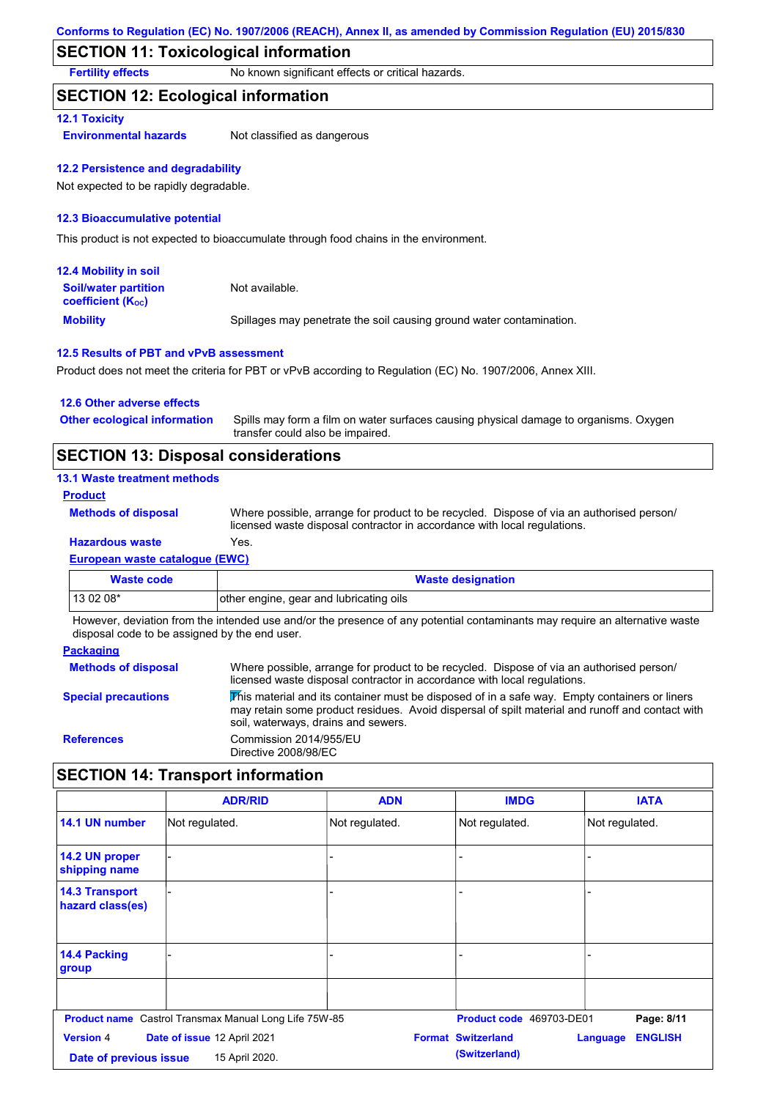## **SECTION 11: Toxicological information**

**Fertility effects** No known significant effects or critical hazards.

## **SECTION 12: Ecological information**

#### **12.1 Toxicity**

**Environmental hazards** Not classified as dangerous

#### **12.2 Persistence and degradability**

Not expected to be rapidly degradable.

#### **12.3 Bioaccumulative potential**

This product is not expected to bioaccumulate through food chains in the environment.

| <b>12.4 Mobility in soil</b>                                  |                                                                      |
|---------------------------------------------------------------|----------------------------------------------------------------------|
| <b>Soil/water partition</b><br>coefficient (K <sub>oc</sub> ) | Not available.                                                       |
| <b>Mobility</b>                                               | Spillages may penetrate the soil causing ground water contamination. |

#### **12.5 Results of PBT and vPvB assessment**

Product does not meet the criteria for PBT or vPvB according to Regulation (EC) No. 1907/2006, Annex XIII.

| 12.6 Other adverse effects          |                                                                                                                           |
|-------------------------------------|---------------------------------------------------------------------------------------------------------------------------|
| <b>Other ecological information</b> | Spills may form a film on water surfaces causing physical damage to organisms. Oxygen<br>transfer could also be impaired. |
|                                     |                                                                                                                           |

## **SECTION 13: Disposal considerations**

### **13.1 Waste treatment methods**

**Product**

**Methods of disposal**

**Hazardous waste** Yes. Where possible, arrange for product to be recycled. Dispose of via an authorised person/ licensed waste disposal contractor in accordance with local regulations.

## **European waste catalogue (EWC)**

| Waste code | <b>Waste designation</b>                |
|------------|-----------------------------------------|
| $130208*$  | other engine, gear and lubricating oils |

However, deviation from the intended use and/or the presence of any potential contaminants may require an alternative waste disposal code to be assigned by the end user.

#### **Packaging**

| <b>Methods of disposal</b> | Where possible, arrange for product to be recycled. Dispose of via an authorised person/<br>licensed waste disposal contractor in accordance with local regulations.                                                                    |
|----------------------------|-----------------------------------------------------------------------------------------------------------------------------------------------------------------------------------------------------------------------------------------|
| <b>Special precautions</b> | This material and its container must be disposed of in a safe way. Empty containers or liners<br>may retain some product residues. Avoid dispersal of spilt material and runoff and contact with<br>soil, waterways, drains and sewers. |
| <b>References</b>          | Commission 2014/955/EU<br>Directive 2008/98/EC                                                                                                                                                                                          |

## **SECTION 14: Transport information**

|                                                                                                        | <b>ADR/RID</b> | <b>ADN</b>     | <b>IMDG</b>                                | <b>IATA</b>                |
|--------------------------------------------------------------------------------------------------------|----------------|----------------|--------------------------------------------|----------------------------|
| 14.1 UN number                                                                                         | Not regulated. | Not regulated. | Not regulated.                             | Not regulated.             |
| 14.2 UN proper<br>shipping name                                                                        |                |                |                                            |                            |
| <b>14.3 Transport</b><br>hazard class(es)                                                              |                | ۰              |                                            |                            |
| 14.4 Packing<br>group                                                                                  |                |                |                                            |                            |
| <b>Product name</b> Castrol Transmax Manual Long Life 75W-85<br>Product code 469703-DE01<br>Page: 8/11 |                |                |                                            |                            |
| <b>Version 4</b><br>Date of issue 12 April 2021<br>15 April 2020.<br>Date of previous issue            |                |                | <b>Format Switzerland</b><br>(Switzerland) | <b>ENGLISH</b><br>Language |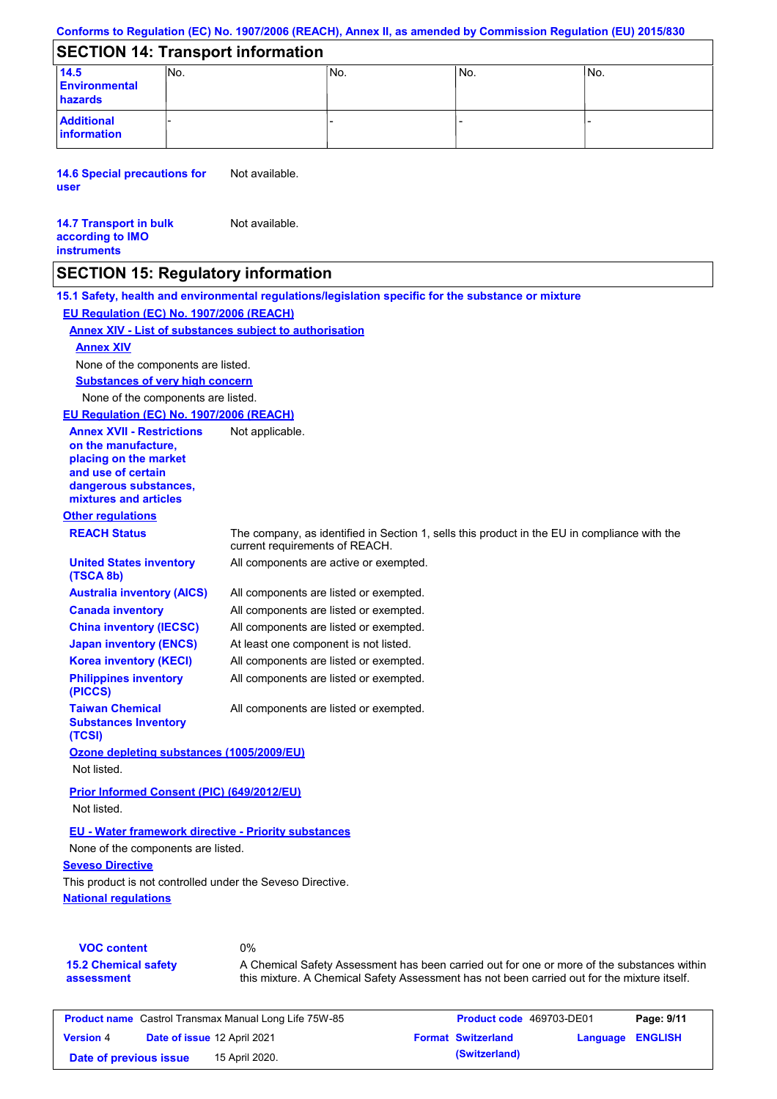#### **Conforms to Regulation (EC) No. 1907/2006 (REACH), Annex II, as amended by Commission Regulation (EU) 2015/830**

## **SECTION 14: Transport information**

| 14.5<br><b>Environmental</b><br>hazards | INo. | INo. | INo. | lNo. |
|-----------------------------------------|------|------|------|------|
| <b>Additional</b><br>information        |      |      |      |      |

**14.6 Special precautions for user** Not available.

#### **14.7 Transport in bulk according to IMO instruments** Not available.

## **SECTION 15: Regulatory information**

**Other regulations REACH Status** The company, as identified in Section 1, sells this product in the EU in compliance with the current requirements of REACH. **15.1 Safety, health and environmental regulations/legislation specific for the substance or mixture EU Regulation (EC) No. 1907/2006 (REACH) Annex XIV - List of substances subject to authorisation Substances of very high concern** None of the components are listed. All components are listed or exempted. All components are listed or exempted. All components are listed or exempted. At least one component is not listed. All components are active or exempted. All components are listed or exempted. All components are listed or exempted. **United States inventory (TSCA 8b) Australia inventory (AICS) Canada inventory China inventory (IECSC) Japan inventory (ENCS) Korea inventory (KECI) Philippines inventory (PICCS) Taiwan Chemical Substances Inventory (TCSI)** All components are listed or exempted. **Ozone depleting substances (1005/2009/EU)** Not listed. **Prior Informed Consent (PIC) (649/2012/EU)** Not listed. None of the components are listed. **Annex XIV EU - Water framework directive - Priority substances EU Regulation (EC) No. 1907/2006 (REACH) Annex XVII - Restrictions on the manufacture, placing on the market and use of certain dangerous substances, mixtures and articles** Not applicable.

None of the components are listed.

**National regulations Seveso Directive** This product is not controlled under the Seveso Directive.

| <b>VOC content</b>          | 0%                                                                                          |
|-----------------------------|---------------------------------------------------------------------------------------------|
| <b>15.2 Chemical safety</b> | A Chemical Safety Assessment has been carried out for one or more of the substances within  |
| assessment                  | this mixture. A Chemical Safety Assessment has not been carried out for the mixture itself. |

| <b>Product name</b> Castrol Transmax Manual Long Life 75W-85 |  |                           | <b>Product code</b> 469703-DE01 | Page: 9/11 |  |
|--------------------------------------------------------------|--|---------------------------|---------------------------------|------------|--|
| Date of issue 12 April 2021<br><b>Version 4</b>              |  | <b>Format Switzerland</b> | <b>Language ENGLISH</b>         |            |  |
| 15 April 2020.<br>Date of previous issue                     |  |                           | (Switzerland)                   |            |  |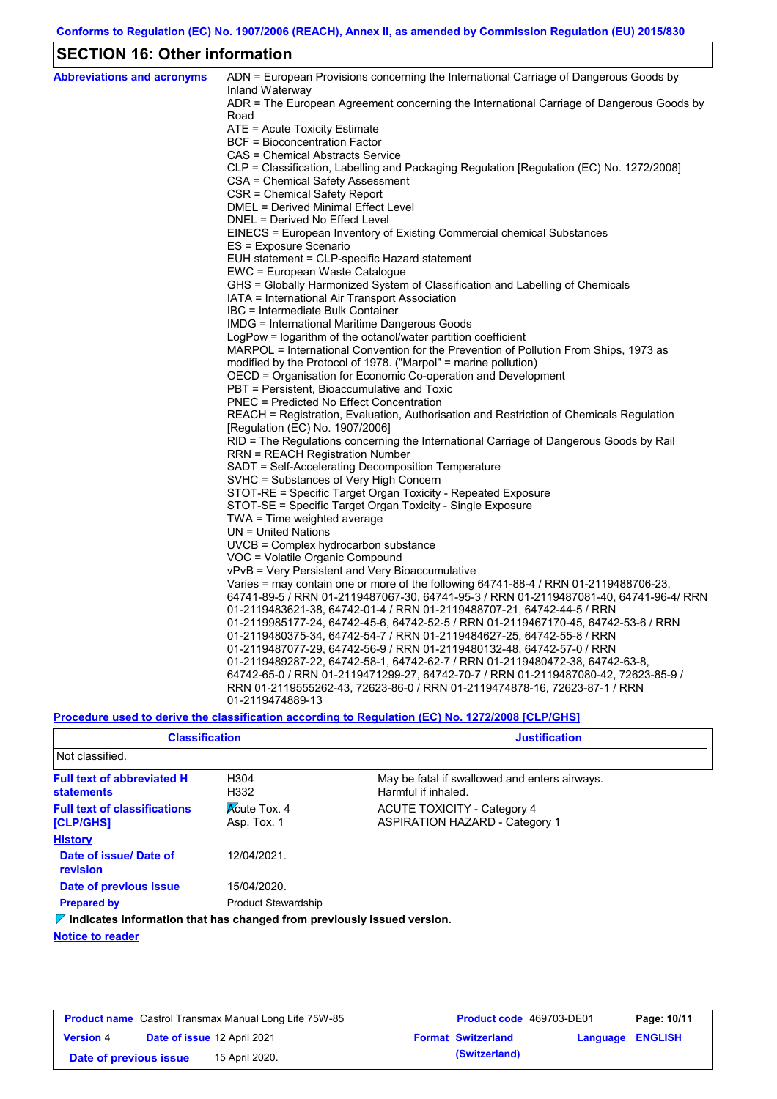# **SECTION 16: Other information**

| <b>Abbreviations and acronyms</b> | ADN = European Provisions concerning the International Carriage of Dangerous Goods by                                                                              |
|-----------------------------------|--------------------------------------------------------------------------------------------------------------------------------------------------------------------|
|                                   | Inland Waterway<br>ADR = The European Agreement concerning the International Carriage of Dangerous Goods by                                                        |
|                                   | Road                                                                                                                                                               |
|                                   | ATE = Acute Toxicity Estimate                                                                                                                                      |
|                                   | BCF = Bioconcentration Factor                                                                                                                                      |
|                                   | CAS = Chemical Abstracts Service                                                                                                                                   |
|                                   | CLP = Classification, Labelling and Packaging Regulation [Regulation (EC) No. 1272/2008]                                                                           |
|                                   | CSA = Chemical Safety Assessment                                                                                                                                   |
|                                   | CSR = Chemical Safety Report                                                                                                                                       |
|                                   | DMEL = Derived Minimal Effect Level                                                                                                                                |
|                                   | DNEL = Derived No Effect Level                                                                                                                                     |
|                                   | EINECS = European Inventory of Existing Commercial chemical Substances                                                                                             |
|                                   | ES = Exposure Scenario                                                                                                                                             |
|                                   | EUH statement = CLP-specific Hazard statement                                                                                                                      |
|                                   | EWC = European Waste Catalogue                                                                                                                                     |
|                                   | GHS = Globally Harmonized System of Classification and Labelling of Chemicals                                                                                      |
|                                   | IATA = International Air Transport Association                                                                                                                     |
|                                   | IBC = Intermediate Bulk Container                                                                                                                                  |
|                                   | IMDG = International Maritime Dangerous Goods                                                                                                                      |
|                                   | LogPow = logarithm of the octanol/water partition coefficient                                                                                                      |
|                                   | MARPOL = International Convention for the Prevention of Pollution From Ships, 1973 as                                                                              |
|                                   | modified by the Protocol of 1978. ("Marpol" = marine pollution)                                                                                                    |
|                                   | OECD = Organisation for Economic Co-operation and Development                                                                                                      |
|                                   | PBT = Persistent, Bioaccumulative and Toxic                                                                                                                        |
|                                   | <b>PNEC = Predicted No Effect Concentration</b>                                                                                                                    |
|                                   | REACH = Registration, Evaluation, Authorisation and Restriction of Chemicals Regulation                                                                            |
|                                   | [Regulation (EC) No. 1907/2006]                                                                                                                                    |
|                                   | RID = The Regulations concerning the International Carriage of Dangerous Goods by Rail                                                                             |
|                                   | RRN = REACH Registration Number                                                                                                                                    |
|                                   | SADT = Self-Accelerating Decomposition Temperature                                                                                                                 |
|                                   | SVHC = Substances of Very High Concern                                                                                                                             |
|                                   | STOT-RE = Specific Target Organ Toxicity - Repeated Exposure                                                                                                       |
|                                   | STOT-SE = Specific Target Organ Toxicity - Single Exposure                                                                                                         |
|                                   | TWA = Time weighted average                                                                                                                                        |
|                                   | $UN = United Nations$                                                                                                                                              |
|                                   | UVCB = Complex hydrocarbon substance                                                                                                                               |
|                                   | VOC = Volatile Organic Compound                                                                                                                                    |
|                                   | vPvB = Very Persistent and Very Bioaccumulative                                                                                                                    |
|                                   | Varies = may contain one or more of the following $64741-88-4$ / RRN 01-2119488706-23,                                                                             |
|                                   | 64741-89-5 / RRN 01-2119487067-30, 64741-95-3 / RRN 01-2119487081-40, 64741-96-4/ RRN                                                                              |
|                                   | 01-2119483621-38, 64742-01-4 / RRN 01-2119488707-21, 64742-44-5 / RRN                                                                                              |
|                                   | 01-2119985177-24, 64742-45-6, 64742-52-5 / RRN 01-2119467170-45, 64742-53-6 / RRN                                                                                  |
|                                   | 01-2119480375-34, 64742-54-7 / RRN 01-2119484627-25, 64742-55-8 / RRN                                                                                              |
|                                   | 01-2119487077-29, 64742-56-9 / RRN 01-2119480132-48, 64742-57-0 / RRN                                                                                              |
|                                   | 01-2119489287-22, 64742-58-1, 64742-62-7 / RRN 01-2119480472-38, 64742-63-8,<br>64742-65-0 / RRN 01-2119471299-27, 64742-70-7 / RRN 01-2119487080-42, 72623-85-9 / |
|                                   | RRN 01-2119555262-43, 72623-86-0 / RRN 01-2119474878-16, 72623-87-1 / RRN                                                                                          |
|                                   | 01-2119474889-13                                                                                                                                                   |
|                                   |                                                                                                                                                                    |

**Procedure used to derive the classification according to Regulation (EC) No. 1272/2008 [CLP/GHS]**

| <b>Classification</b>                                                           |                                    | <b>Justification</b>                                                        |
|---------------------------------------------------------------------------------|------------------------------------|-----------------------------------------------------------------------------|
| Not classified.                                                                 |                                    |                                                                             |
| <b>Full text of abbreviated H</b><br><b>statements</b>                          | H <sub>304</sub><br>H332           | May be fatal if swallowed and enters airways.<br>Harmful if inhaled.        |
| <b>Full text of classifications</b><br>[CLP/GHS]                                | <b>Acute Tox. 4</b><br>Asp. Tox. 1 | <b>ACUTE TOXICITY - Category 4</b><br><b>ASPIRATION HAZARD - Category 1</b> |
| <b>History</b>                                                                  |                                    |                                                                             |
| Date of issue/ Date of<br>revision                                              | 12/04/2021.                        |                                                                             |
| Date of previous issue                                                          | 15/04/2020.                        |                                                                             |
| <b>Prepared by</b>                                                              | <b>Product Stewardship</b>         |                                                                             |
| $\nabla$ Indicates information that has changed from previously issued version. |                                    |                                                                             |

**Notice to reader**

| <b>Product name</b> Castrol Transmax Manual Long Life 75W-85 |  |                             | <b>Product code</b> 469703-DE01 |                           | Page: 10/11      |  |
|--------------------------------------------------------------|--|-----------------------------|---------------------------------|---------------------------|------------------|--|
| <b>Version 4</b>                                             |  | Date of issue 12 April 2021 |                                 | <b>Format Switzerland</b> | Language ENGLISH |  |
| Date of previous issue                                       |  | 15 April 2020.              |                                 | (Switzerland)             |                  |  |